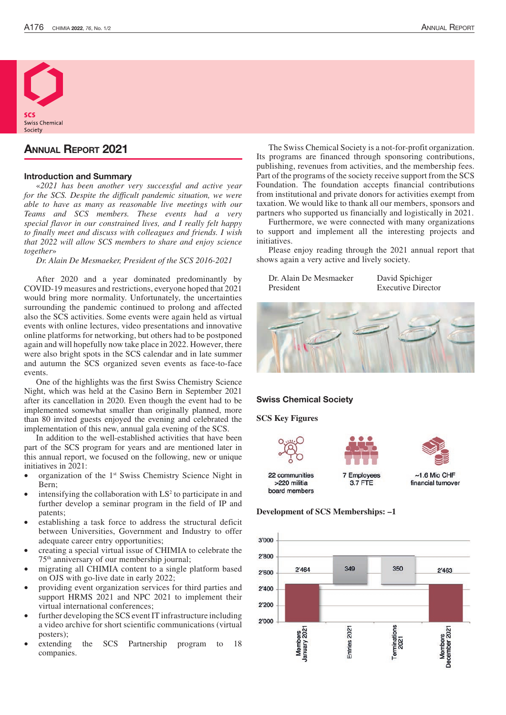

# Annual Report 2021

### Introduction and Summary

«*2021 has been another very successful and active year for the SCS. Despite the difficult pandemic situation, we were able to have as many as reasonable live meetings with our Teams and SCS members. These events had a very special flavor in our constrained lives, and I really felt happy to finally meet and discuss with colleagues and friends. I wish that 2022 will allow SCS members to share and enjoy science together*»

*Dr. Alain De Mesmaeker, President of the SCS 2016-2021*

After 2020 and a year dominated predominantly by COVID-19 measures and restrictions, everyone hoped that 2021 would bring more normality. Unfortunately, the uncertainties surrounding the pandemic continued to prolong and affected also the SCS activities. Some events were again held as virtual events with online lectures, video presentations and innovative online platforms for networking, but others had to be postponed again and will hopefully now take place in 2022. However, there were also bright spots in the SCS calendar and in late summer and autumn the SCS organized seven events as face-to-face events.

One of the highlights was the first Swiss Chemistry Science Night, which was held at the Casino Bern in September 2021 after its cancellation in 2020. Even though the event had to be implemented somewhat smaller than originally planned, more than 80 invited guests enjoyed the evening and celebrated the implementation of this new, annual gala evening of the SCS.

In addition to the well-established activities that have been part of the SCS program for years and are mentioned later in this annual report, we focused on the following, new or unique initiatives in 2021:

- organization of the 1<sup>st</sup> Swiss Chemistry Science Night in Bern;
- $\bullet$  intensifying the collaboration with LS<sup>2</sup> to participate in and further develop a seminar program in the field of IP and patents;
- establishing a task force to address the structural deficit between Universities, Government and Industry to offer adequate career entry opportunities;
- creating a special virtual issue of CHIMIA to celebrate the 75th anniversary of our membership journal;
- migrating all CHIMIA content to a single platform based on OJS with go-live date in early 2022;
- providing event organization services for third parties and support HRMS 2021 and NPC 2021 to implement their virtual international conferences;
- further developing the SCS event IT infrastructure including a video archive for short scientific communications (virtual posters);
- extending the SCS Partnership program to 18 companies.

The Swiss Chemical Society is a not-for-profit organization. Its programs are financed through sponsoring contributions, publishing, revenues from activities, and the membership fees. Part of the programs of the society receive support from the SCS Foundation. The foundation accepts financial contributions from institutional and private donors for activities exempt from taxation. We would like to thank all our members, sponsors and partners who supported us financially and logistically in 2021.

Furthermore, we were connected with many organizations to support and implement all the interesting projects and initiatives.

Please enjoy reading through the 2021 annual report that shows again a very active and lively society.

| Dr. Alain De Mesmaeker |  |
|------------------------|--|
| President              |  |

David Spichiger **Executive Director** 



### Swiss Chemical Society

#### **SCS Key Figures**





**7 Employees 3.7 FTE** 

 $~1.6$  Mio CHF financial turnover

#### **Development of SCS Memberships: –1**

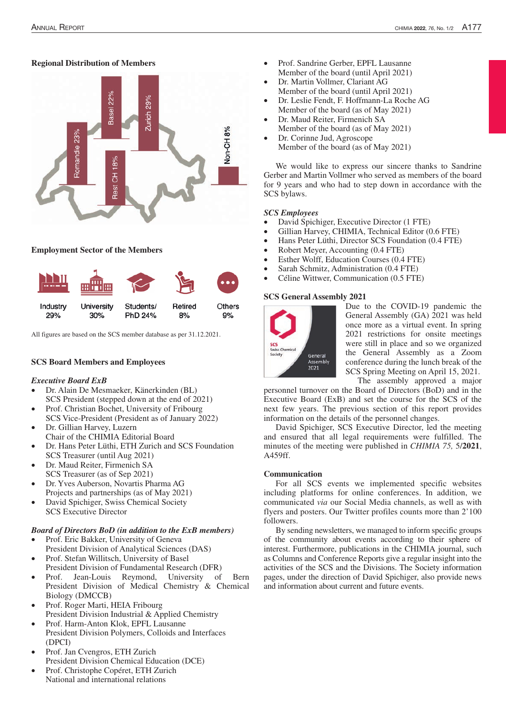# **Regional Distribution of Members**



# **Employment Sector of the Members**



All figures are based on the SCS member database as per 31.12.2021.

# **SCS Board Members and Employees**

### *Executive Board ExB*

- Dr. Alain De Mesmaeker, Känerkinden (BL) SCS President (stepped down at the end of 2021)
- Prof. Christian Bochet, University of Fribourg
- SCS Vice-President (President as of January 2022) Dr. Gillian Harvey, Luzern Chair of the CHIMIA Editorial Board
- Dr. Hans Peter Lüthi, ETH Zurich and SCS Foundation SCS Treasurer (until Aug 2021)
- Dr. Maud Reiter, Firmenich SA SCS Treasurer (as of Sep 2021)
- Dr. Yves Auberson, Novartis Pharma AG Projects and partnerships (as of May 2021)
- David Spichiger, Swiss Chemical Society SCS Executive Director

### *Board of Directors BoD (in addition to the ExB members)*

- Prof. Eric Bakker, University of Geneva President Division of Analytical Sciences (DAS)
- Prof. Stefan Willitsch, University of Basel President Division of Fundamental Research (DFR)
- Prof. Jean-Louis Reymond, University of Bern President Division of Medical Chemistry & Chemical Biology (DMCCB)
- Prof. Roger Marti, HEIA Fribourg President Division Industrial & Applied Chemistry
- Prof. Harm-Anton Klok, EPFL Lausanne President Division Polymers, Colloids and Interfaces (DPCI)
- Prof. Jan Cvengros, ETH Zurich President Division Chemical Education (DCE)
- Prof. Christophe Copéret, ETH Zurich National and international relations
- Prof. Sandrine Gerber, EPFL Lausanne Member of the board (until April 2021)
- Dr. Martin Vollmer, Clariant AG Member of the board (until April 2021)
- Dr. Leslie Fendt, F. Hoffmann-La Roche AG Member of the board (as of May 2021)
- Dr. Maud Reiter, Firmenich SA Member of the board (as of May 2021)
	- Dr. Corinne Jud, Agroscope Member of the board (as of May 2021)

We would like to express our sincere thanks to Sandrine Gerber and Martin Vollmer who served as members of the board for 9 years and who had to step down in accordance with the SCS bylaws.

### *SCS Employees*

- David Spichiger, Executive Director (1 FTE)
- Gillian Harvey, CHIMIA, Technical Editor (0.6 FTE)
- Hans Peter Lüthi, Director SCS Foundation  $(0.4$  FTE)
- Robert Meyer, Accounting  $(0.4$  FTE)
- Esther Wolff, Education Courses (0.4 FTE)
- Sarah Schmitz, Administration (0.4 FTE)
- Céline Wittwer, Communication (0.5 FTE)

### **SCS General Assembly 2021**



Due to the COVID-19 pandemic the General Assembly (GA) 2021 was held once more as a virtual event. In spring 2021 restrictions for onsite meetings were still in place and so we organized the General Assembly as a Zoom conference during the lunch break of the SCS Spring Meeting on April 15, 2021. The assembly approved a major

personnel turnover on the Board of Directors (BoD) and in the Executive Board (ExB) and set the course for the SCS of the next few years. The previous section of this report provides information on the details of the personnel changes.

David Spichiger, SCS Executive Director, led the meeting and ensured that all legal requirements were fulfilled. The minutes of the meeting were published in *CHIMIA 75,* 5/**2021**, A459ff.

### **Communication**

For all SCS events we implemented specific websites including platforms for online conferences. In addition, we communicated *via* our Social Media channels, as well as with flyers and posters. Our Twitter profiles counts more than 2'100 followers.

By sending newsletters, we managed to inform specific groups of the community about events according to their sphere of interest. Furthermore, publications in the CHIMIA journal, such as Columns and Conference Reports give a regular insight into the activities of the SCS and the Divisions. The Society information pages, under the direction of David Spichiger, also provide news and information about current and future events.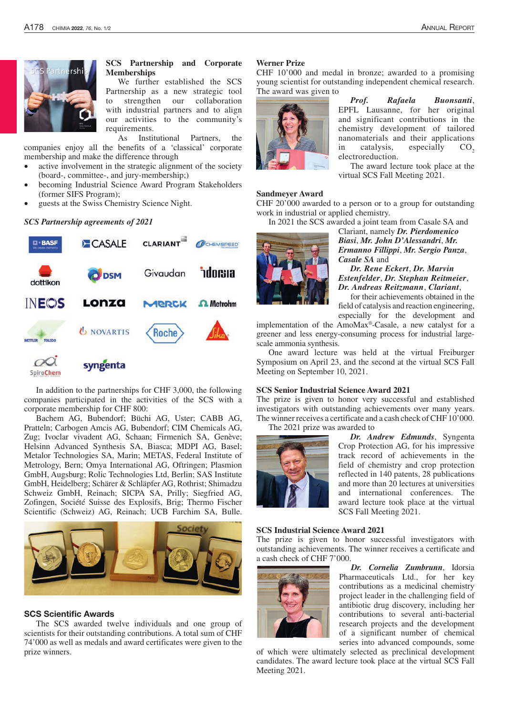

**SCS Partnership and Corporate Memberships**

We further established the SCS Partnership as a new strategic tool to strengthen our collaboration with industrial partners and to align our activities to the community's requirements.

As Institutional Partners, the companies enjoy all the benefits of a 'classical' corporate membership and make the difference through

- active involvement in the strategic alignment of the society (board-, committee-, and jury-membership;)
- becoming Industrial Science Award Program Stakeholders (former SIFS Program);
- guests at the Swiss Chemistry Science Night.

#### *SCS Partnership agreements of 2021*



In addition to the partnerships for CHF 3,000, the following companies participated in the activities of the SCS with a corporate membership for CHF 800:

Bachem AG, Bubendorf; Büchi AG, Uster; CABB AG, Pratteln; Carbogen Amcis AG, Bubendorf; CIM Chemicals AG, Zug; Ivoclar vivadent AG, Schaan; Firmenich SA, Genève; Helsinn Advanced Synthesis SA, Biasca; MDPI AG, Basel; Metalor Technologies SA, Marin; METAS, Federal Institute of Metrology, Bern; Omya International AG, Oftringen; Plasmion GmbH, Augsburg; Rolic Technologies Ltd, Berlin; SAS Institute GmbH, Heidelberg; Schärer & Schläpfer AG, Rothrist; Shimadzu Schweiz GmbH, Reinach; SICPA SA, Prilly; Siegfried AG, Zofingen, Société Suisse des Explosifs, Brig; Thermo Fischer Scientific (Schweiz) AG, Reinach; UCB Farchim SA, Bulle.



#### SCS Scientific Awards

The SCS awarded twelve individuals and one group of scientists for their outstanding contributions. A total sum of CHF 74'000 as well as medals and award certificates were given to the prize winners.

### **Werner Prize**

CHF 10'000 and medal in bronze; awarded to a promising young scientist for outstanding independent chemical research. The award was given to



*Prof. Rafaela Buonsanti*, EPFL Lausanne, for her original and significant contributions in the chemistry development of tailored nanomaterials and their applications in catalysis, especially  $CO<sub>2</sub>$ electroreduction.

The award lecture took place at the virtual SCS Fall Meeting 2021.

#### **Sandmeyer Award**

CHF 20'000 awarded to a person or to a group for outstanding work in industrial or applied chemistry.

In 2021 the SCS awarded a joint team from Casale SA and



Clariant, namely *Dr. Pierdomenico Biasi*, *Mr. John D'Alessandri*, *Mr. Ermanno Fillippi*, *Mr. Sergio Panza*, *Casale SA* and

*Dr. Rene Eckert*, *Dr. Marvin Estenfelder*, *Dr. Stephan Reitmeier*, *Dr. Andreas Reitzmann*, *Clariant*,

for their achievements obtained in the field of catalysis and reaction engineering,

especially for the development and implementation of the AmoMax®-Casale, a new catalyst for a greener and less energy-consuming process for industrial largescale ammonia synthesis.

One award lecture was held at the virtual Freiburger Symposium on April 23, and the second at the virtual SCS Fall Meeting on September 10, 2021.

#### **SCS Senior Industrial Science Award 2021**

The prize is given to honor very successful and established investigators with outstanding achievements over many years. The winner receives a certificate and a cash check of CHF 10'000. The 2021 prize was awarded to



*Dr. Andrew Edmunds*, Syngenta Crop Protection AG, for his impressive track record of achievements in the field of chemistry and crop protection reflected in 140 patents, 28 publications and more than 20 lectures at universities and international conferences. The award lecture took place at the virtual SCS Fall Meeting 2021.

#### **SCS Industrial Science Award 2021**

The prize is given to honor successful investigators with outstanding achievements. The winner receives a certificate and a cash check of CHF 7'000.



*Dr. Cornelia Zumbrunn*, Idorsia Pharmaceuticals Ltd., for her key contributions as a medicinal chemistry project leader in the challenging field of antibiotic drug discovery, including her contributions to several anti-bacterial research projects and the development of a significant number of chemical series into advanced compounds, some

of which were ultimately selected as preclinical development candidates. The award lecture took place at the virtual SCS Fall Meeting 2021.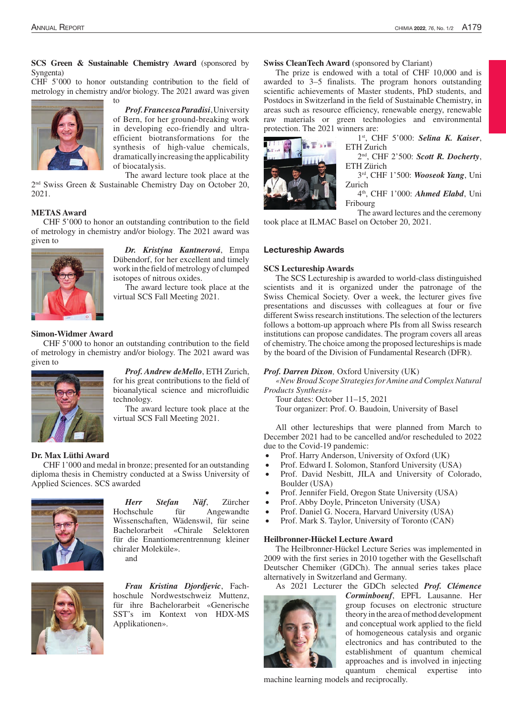# **SCS Green & Sustainable Chemistry Award** (sponsored by Syngenta)

CHF 5'000 to honor outstanding contribution to the field of metrology in chemistry and/or biology. The 2021 award was given

to



*Prof. Francesca Paradisi*, University of Bern, for her ground-breaking work in developing eco-friendly and ultraefficient biotransformations for the synthesis of high-value chemicals, dramatically increasing the applicability of biocatalysis.

The award lecture took place at the

2nd Swiss Green & Sustainable Chemistry Day on October 20, 2021.

### **METAS Award**

CHF 5'000 to honor an outstanding contribution to the field of metrology in chemistry and/or biology. The 2021 award was given to



*Dr. Kristýna Kantnerová*, Empa Dübendorf, for her excellent and timely work in the field of metrology of clumped isotopes of nitrous oxides.

The award lecture took place at the virtual SCS Fall Meeting 2021.

# **Simon-Widmer Award**

CHF 5'000 to honor an outstanding contribution to the field of metrology in chemistry and/or biology. The 2021 award was given to



*Prof. Andrew deMello*, ETH Zurich, for his great contributions to the field of bioanalytical science and microfluidic technology.

The award lecture took place at the virtual SCS Fall Meeting 2021.

#### **Dr. Max Lüthi Award**

CHF 1'000 and medal in bronze; presented for an outstanding diploma thesis in Chemistry conducted at a Swiss University of Applied Sciences. SCS awarded



*Herr Stefan Näf*, Zürcher Hochschule für Angewandte Wissenschaften, Wädenswil, für seine Bachelorarbeit «Chirale Selektoren für die Enantiomerentrennung kleiner chiraler Moleküle». and



*Frau Kristina Djordjevic*, Fachhoschule Nordwestschweiz Muttenz, für ihre Bachelorarbeit «Generische SST's im Kontext von HDX-MS Applikationen».

### **Swiss CleanTech Award** (sponsored by Clariant)

The prize is endowed with a total of CHF 10,000 and is awarded to 3–5 finalists. The program honors outstanding scientific achievements of Master students, PhD students, and Postdocs in Switzerland in the field of Sustainable Chemistry, in areas such as resource efficiency, renewable energy, renewable raw materials or green technologies and environmental protection. The 2021 winners are:



1st, CHF 5'000: *Selina K. Kaiser*, ETH Zurich

2nd, CHF 2'500: *Scott R. Docherty*, ETH Zürich

3rd, CHF 1'500: *Wooseok Yang*, Uni Zurich

4th, CHF 1'000: *Ahmed Elabd*, Uni Fribourg

The award lectures and the ceremony took place at ILMAC Basel on October 20, 2021.

#### Lectureship Awards

#### **SCS Lectureship Awards**

The SCS Lectureship is awarded to world-class distinguished scientists and it is organized under the patronage of the Swiss Chemical Society. Over a week, the lecturer gives five presentations and discusses with colleagues at four or five different Swiss research institutions. The selection of the lecturers follows a bottom-up approach where PIs from all Swiss research institutions can propose candidates. The program covers all areas of chemistry. The choice among the proposed lectureships is made by the board of the Division of Fundamental Research (DFR).

#### *Prof. Darren Dixon,* Oxford University (UK)

*«New Broad Scope Strategies for Amine and Complex Natural Products Synthesis»*

Tour dates: October 11–15, 2021 Tour organizer: Prof. O. Baudoin, University of Basel

All other lectureships that were planned from March to December 2021 had to be cancelled and/or rescheduled to 2022 due to the Covid-19 pandemic:

- Prof. Harry Anderson, University of Oxford (UK)
- Prof. Edward I. Solomon, Stanford University (USA)
- Prof. David Nesbitt, JILA and University of Colorado, Boulder (USA)
- Prof. Jennifer Field, Oregon State University (USA)
- Prof. Abby Doyle, Princeton University (USA)
- Prof. Daniel G. Nocera, Harvard University (USA)
- Prof. Mark S. Taylor, University of Toronto (CAN)

#### **Heilbronner-Hückel Lecture Award**

The Heilbronner-Hückel Lecture Series was implemented in 2009 with the first series in 2010 together with the Gesellschaft Deutscher Chemiker (GDCh). The annual series takes place alternatively in Switzerland and Germany.

As 2021 Lecturer the GDCh selected *Prof. Clémence* 



*Corminboeuf*, EPFL Lausanne. Her group focuses on electronic structure theory in the area of method development and conceptual work applied to the field of homogeneous catalysis and organic electronics and has contributed to the establishment of quantum chemical approaches and is involved in injecting quantum chemical expertise into

machine learning models and reciprocally.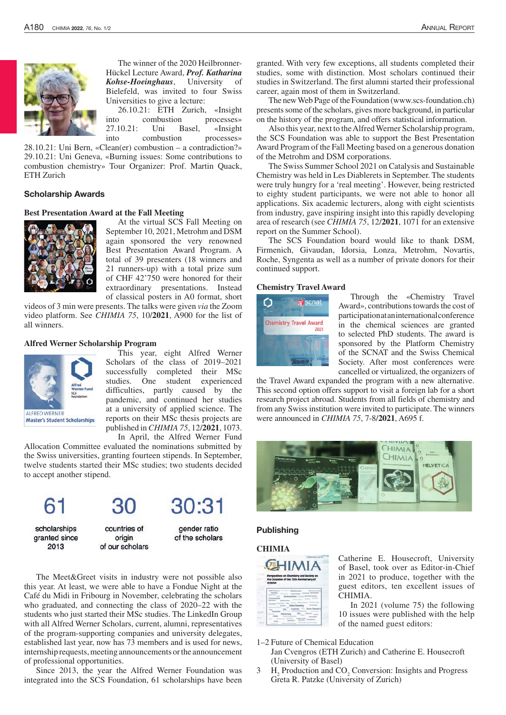

The winner of the 2020 Heilbronner-Hückel Lecture Award, *Prof. Katharina Kohse‐Hoeinghaus*, University of Bielefeld, was invited to four Swiss Universities to give a lecture:

26.10.21: ETH Zurich, «Insight into combustion processes» 27.10.21: Uni Basel, «Insight into combustion processes»

28.10.21: Uni Bern, «Clean(er) combustion – a contradiction?» 29.10.21: Uni Geneva, «Burning issues: Some contributions to combustion chemistry» Tour Organizer: Prof. Martin Quack, ETH Zurich

### Scholarship Awards

### **Best Presentation Award at the Fall Meeting**



At the virtual SCS Fall Meeting on September 10, 2021, Metrohm and DSM again sponsored the very renowned Best Presentation Award Program. A total of 39 presenters (18 winners and 21 runners-up) with a total prize sum of CHF 42'750 were honored for their extraordinary presentations. Instead of classical posters in A0 format, short

videos of 3 min were presents. The talks were given *via* the Zoom video platform. See *CHIMIA 75*, 10/**2021**, A900 for the list of all winners.

### **Alfred Werner Scholarship Program**



This year, eight Alfred Werner Scholars of the class of 2019–2021 successfully completed their MSc studies. One student experienced difficulties, partly caused by the pandemic, and continued her studies at a university of applied science. The reports on their MSc thesis projects are published in *CHIMIA 75*, 12/**2021**, 1073.

In April, the Alfred Werner Fund Allocation Committee evaluated the nominations submitted by the Swiss universities, granting fourteen stipends. In September, twelve students started their MSc studies; two students decided to accept another stipend.

scholarships

granted since

2013

countries of origin of our scholars 30:31 gender ratio

of the scholars

The Meet&Greet visits in industry were not possible also this year. At least, we were able to have a Fondue Night at the Café du Midi in Fribourg in November, celebrating the scholars who graduated, and connecting the class of 2020–22 with the students who just started their MSc studies. The LinkedIn Group with all Alfred Werner Scholars, current, alumni, representatives of the program-supporting companies and university delegates, established last year, now has 73 members and is used for news, internship requests, meeting announcements or the announcement of professional opportunities.

Since 2013, the year the Alfred Werner Foundation was integrated into the SCS Foundation, 61 scholarships have been granted. With very few exceptions, all students completed their studies, some with distinction. Most scholars continued their studies in Switzerland. The first alumni started their professional career, again most of them in Switzerland.

The new Web Page of the Foundation (www.scs-foundation.ch) presents some of the scholars, gives more background, in particular on the history of the program, and offers statistical information.

Also this year, next to the Alfred Werner Scholarship program, the SCS Foundation was able to support the Best Presentation Award Program of the Fall Meeting based on a generous donation of the Metrohm and DSM corporations.

The Swiss Summer School 2021 on Catalysis and Sustainable Chemistry was held in Les Diablerets in September. The students were truly hungry for a 'real meeting'. However, being restricted to eighty student participants, we were not able to honor all applications. Six academic lecturers, along with eight scientists from industry, gave inspiring insight into this rapidly developing area of research (see *CHIMIA 75*, 12/**2021**, 1071 for an extensive report on the Summer School).

The SCS Foundation board would like to thank DSM, Firmenich, Givaudan, Idorsia, Lonza, Metrohm, Novartis, Roche, Syngenta as well as a number of private donors for their continued support.

#### **Chemistry Travel Award**



Through the «Chemistry Travel Award», contributions towards the cost of participation at an international conference in the chemical sciences are granted to selected PhD students. The award is sponsored by the Platform Chemistry of the SCNAT and the Swiss Chemical Society. After most conferences were cancelled or virtualized, the organizers of

the Travel Award expanded the program with a new alternative. This second option offers support to visit a foreign lab for a short research project abroad. Students from all fields of chemistry and from any Swiss institution were invited to participate. The winners were announced in *CHIMIA 75*, 7-8/**2021**, A695 f.



#### **Publishing**

### **CHIMIA**



Catherine E. Housecroft, University of Basel, took over as Editor-in-Chief in 2021 to produce, together with the guest editors, ten excellent issues of CHIMIA.

In 2021 (volume 75) the following 10 issues were published with the help of the named guest editors:

1–2 Future of Chemical Education

Jan Cvengros (ETH Zurich) and Catherine E. Housecroft (University of Basel)

 $3$  H<sub>2</sub> Production and CO<sub>2</sub> Conversion: Insights and Progress Greta R. Patzke (University of Zurich)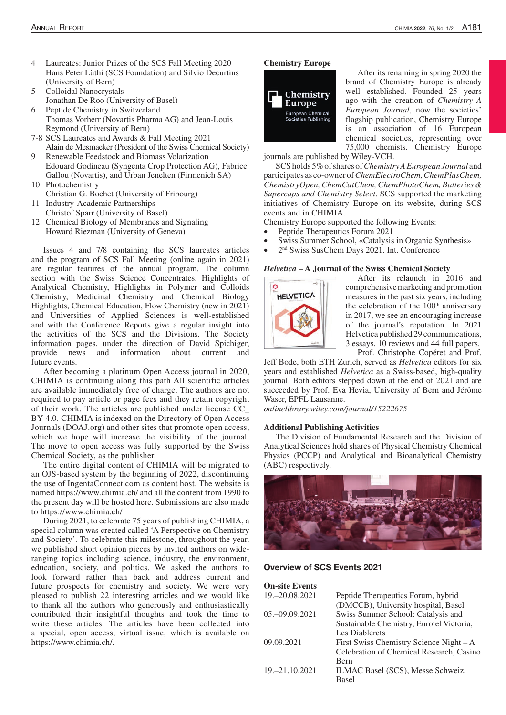- 4 Laureates: Junior Prizes of the SCS Fall Meeting 2020 Hans Peter Lüthi (SCS Foundation) and Silvio Decurtins (University of Bern)
- 5 Colloidal Nanocrystals Jonathan De Roo (University of Basel)
- 6 Peptide Chemistry in Switzerland Thomas Vorherr (Novartis Pharma AG) and Jean-Louis Reymond (University of Bern)
- 7-8 SCS Laureates and Awards & Fall Meeting 2021 Alain de Mesmaeker (President of the Swiss Chemical Society)
- 9 Renewable Feedstock and Biomass Volarization Edouard Godineau (Syngenta Crop Protection AG), Fabrice Gallou (Novartis), and Urban Jenelten (Firmenich SA)
- 10 Photochemistry Christian G. Bochet (University of Fribourg)
- 11 Industry-Academic Partnerships Christof Sparr (University of Basel)
- 12 Chemical Biology of Membranes and Signaling Howard Riezman (University of Geneva)

Issues 4 and 7/8 containing the SCS laureates articles and the program of SCS Fall Meeting (online again in 2021) are regular features of the annual program. The column section with the Swiss Science Concentrates, Highlights of Analytical Chemistry, Highlights in Polymer and Colloids Chemistry, Medicinal Chemistry and Chemical Biology Highlights, Chemical Education, Flow Chemistry (new in 2021) and Universities of Applied Sciences is well-established and with the Conference Reports give a regular insight into the activities of the SCS and the Divisions. The Society information pages, under the direction of David Spichiger, provide news and information about current and future events.

After becoming a platinum Open Access journal in 2020, CHIMIA is continuing along this path All scientific articles are available immediately free of charge. The authors are not required to pay article or page fees and they retain copyright of their work. The articles are published under license CC\_ BY 4.0. CHIMIA is indexed on the Directory of Open Access Journals (DOAJ.org) and other sites that promote open access, which we hope will increase the visibility of the journal. The move to open access was fully supported by the Swiss Chemical Society, as the publisher.

The entire digital content of CHIMIA will be migrated to an OJS-based system by the beginning of 2022, discontinuing the use of IngentaConnect.com as content host. The website is named https://www.chimia.ch/ and all the content from 1990 to the present day will be hosted here. Submissions are also made to https://www.chimia.ch/

During 2021, to celebrate 75 years of publishing CHIMIA, a special column was created called 'A Perspective on Chemistry and Society'. To celebrate this milestone, throughout the year, we published short opinion pieces by invited authors on wideranging topics including science, industry, the environment, education, society, and politics. We asked the authors to look forward rather than back and address current and future prospects for chemistry and society. We were very pleased to publish 22 interesting articles and we would like to thank all the authors who generously and enthusiastically contributed their insightful thoughts and took the time to write these articles. The articles have been collected into a special, open access, virtual issue, which is available on https://www.chimia.ch/.

#### **Chemistry Europe**



After its renaming in spring 2020 the brand of Chemistry Europe is already well established. Founded 25 years ago with the creation of *Chemistry A European Journal*, now the societies' flagship publication, Chemistry Europe is an association of 16 European chemical societies, representing over 75,000 chemists. Chemistry Europe

journals are published by Wiley-VCH.

SCS holds 5% of shares of *Chemistry A European Journal* and participates as co-owner of *ChemElectroChem, ChemPlusChem, ChemistryOpen, ChemCatChem, ChemPhotoChem, Batteries & Supercaps and Chemistry Select*. SCS supported the marketing initiatives of Chemistry Europe on its website, during SCS events and in CHIMIA.

Chemistry Europe supported the following Events:

- Peptide Therapeutics Forum 2021
- Swiss Summer School, «Catalysis in Organic Synthesis»
- 2<sup>nd</sup> Swiss SusChem Days 2021. Int. Conference

### *Helvetica* **– A Journal of the Swiss Chemical Society**



After its relaunch in 2016 and comprehensive marketing and promotion measures in the past six years, including the celebration of the  $100<sup>th</sup>$  anniversary in 2017, we see an encouraging increase of the journal's reputation. In 2021 Helvetica published 29 communications, 3 essays, 10 reviews and 44 full papers.

Prof. Christophe Copéret and Prof. Jeff Bode, both ETH Zurich, served as *Helvetica* editors for six years and established *Helvetica* as a Swiss-based, high-quality journal. Both editors stepped down at the end of 2021 and are succeeded by Prof. Eva Hevia, University of Bern and Jérôme Waser, EPFL Lausanne.

*onlinelibrary.wiley.com/journal/15222675*

#### **Additional Publishing Activities**

The Division of Fundamental Research and the Division of Analytical Sciences hold shares of Physical Chemistry Chemical Physics (PCCP) and Analytical and Bioanalytical Chemistry (ABC) respectively.



#### Overview of SCS Events 2021

| <b>On-site Events</b> |                                          |
|-----------------------|------------------------------------------|
| 19, -20, 08, 2021     | Peptide Therapeutics Forum, hybrid       |
|                       | (DMCCB), University hospital, Basel      |
| 05. - 09.09. 2021     | Swiss Summer School: Catalysis and       |
|                       | Sustainable Chemistry, Eurotel Victoria, |
|                       | Les Diablerets                           |
| 09.09.2021            | First Swiss Chemistry Science Night – A  |
|                       | Celebration of Chemical Research, Casino |
|                       | <b>Bern</b>                              |
| 19. - 21.10.2021      | ILMAC Basel (SCS), Messe Schweiz,        |
|                       | <b>Basel</b>                             |
|                       |                                          |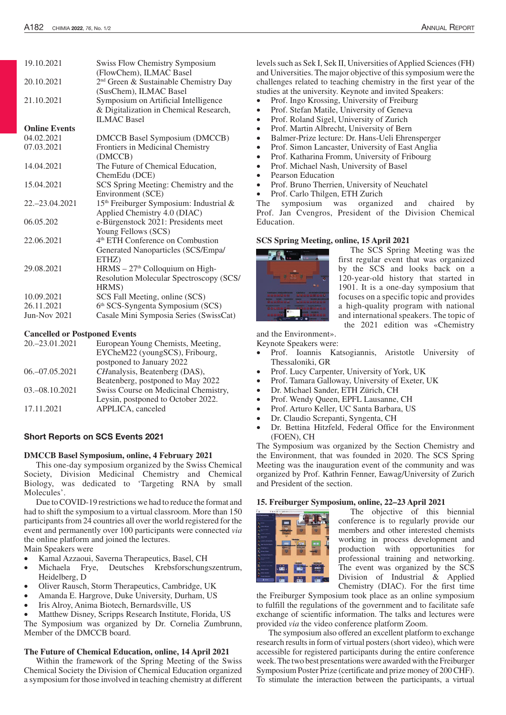| 15 <sup>th</sup> Freiburger Symposium: Industrial & |
|-----------------------------------------------------|
|                                                     |
|                                                     |
|                                                     |
|                                                     |
|                                                     |
|                                                     |
|                                                     |
| Resolution Molecular Spectroscopy (SCS/             |
|                                                     |
|                                                     |
|                                                     |
| Casale Mini Symposia Series (SwissCat)              |
|                                                     |
| SCS Spring Meeting: Chemistry and the               |

# **Cancelled or Postponed Events**

| 20. - 23.01.2021   | European Young Chemists, Meeting,    |
|--------------------|--------------------------------------|
|                    | EYCheM22 (youngSCS), Fribourg,       |
|                    | postponed to January 2022            |
| 06. - 07.05.2021   | CHanalysis, Beatenberg (DAS),        |
|                    | Beatenberg, postponed to May 2022    |
| 03. - 08. 10. 2021 | Swiss Course on Medicinal Chemistry, |
|                    | Leysin, postponed to October 2022.   |
| 17.11.2021         | APPLICA, canceled                    |
|                    |                                      |

### Short Reports on SCS Events 2021

### **DMCCB Basel Symposium, online, 4 February 2021**

This one-day symposium organized by the Swiss Chemical Society, Division Medicinal Chemistry and Chemical Biology, was dedicated to 'Targeting RNA by small Molecules'.

Due to COVID-19 restrictions we had to reduce the format and had to shift the symposium to a virtual classroom. More than 150 participants from 24 countries all over the world registered for the event and permanently over 100 participants were connected *via* the online platform and joined the lectures.

Main Speakers were

- Kamal Azzaoui, Saverna Therapeutics, Basel, CH
- Michaela Frye, Deutsches Krebsforschungszentrum, Heidelberg, D
- Oliver Rausch, Storm Therapeutics, Cambridge, UK
- Amanda E. Hargrove, Duke University, Durham, US
- Iris Alroy, Anima Biotech, Bernardsville, US
- Matthew Disney, Scripps Research Institute, Florida, US

The Symposium was organized by Dr. Cornelia Zumbrunn, Member of the DMCCB board.

#### **The Future of Chemical Education, online, 14 April 2021**

Within the framework of the Spring Meeting of the Swiss Chemical Society the Division of Chemical Education organized a symposium for those involved in teaching chemistry at different

levels such as Sek I, Sek II, Universities of Applied Sciences (FH) and Universities. The major objective of this symposium were the challenges related to teaching chemistry in the first year of the studies at the university. Keynote and invited Speakers:

- • Prof. Ingo Krossing, University of Freiburg
- Prof. Stefan Matile, University of Geneva
- Prof. Roland Sigel, University of Zurich
- Prof. Martin Albrecht, University of Bern
- Balmer-Prize lecture: Dr. Hans-Ueli Ehrensperger
- Prof. Simon Lancaster, University of East Anglia
- Prof. Katharina Fromm, University of Fribourg
- Prof. Michael Nash, University of Basel
- Pearson Education
- Prof. Bruno Therrien, University of Neuchatel
- Prof. Carlo Thilgen, ETH Zurich

The symposium was organized and chaired by Prof. Jan Cvengros, President of the Division Chemical Education.

### **SCS Spring Meeting, online, 15 April 2021**



The SCS Spring Meeting was the first regular event that was organized by the SCS and looks back on a 120-year-old history that started in 1901. It is a one-day symposium that focuses on a specific topic and provides a high-quality program with national and international speakers. The topic of the 2021 edition was «Chemistry

and the Environment».

Keynote Speakers were:

- Prof. Ioannis Katsogiannis, Aristotle University of Thessaloniki, GR
- Prof. Lucy Carpenter, University of York, UK
- Prof. Tamara Galloway, University of Exeter, UK
- Dr. Michael Sander, ETH Zürich, CH
- Prof. Wendy Queen, EPFL Lausanne, CH
- Prof. Arturo Keller, UC Santa Barbara, US
- Dr. Claudio Screpanti, Syngenta, CH
- Dr. Bettina Hitzfeld, Federal Office for the Environment (FOEN), CH

The Symposium was organized by the Section Chemistry and the Environment, that was founded in 2020. The SCS Spring Meeting was the inauguration event of the community and was organized by Prof. Kathrin Fenner, Eawag/University of Zurich and President of the section.

#### **15. Freiburger Symposium, online, 22–23 April 2021**



The objective of this biennial conference is to regularly provide our members and other interested chemists working in process development and production with opportunities for professional training and networking. The event was organized by the SCS Division of Industrial & Applied Chemistry (DIAC). For the first time

the Freiburger Symposium took place as an online symposium to fulfill the regulations of the government and to facilitate safe exchange of scientific information. The talks and lectures were provided *via* the video conference platform Zoom.

The symposium also offered an excellent platform to exchange research results in form of virtual posters (short video), which were accessible for registered participants during the entire conference week. The two best presentations were awarded with the Freiburger Symposium Poster Prize (certificate and prize money of 200 CHF). To stimulate the interaction between the participants, a virtual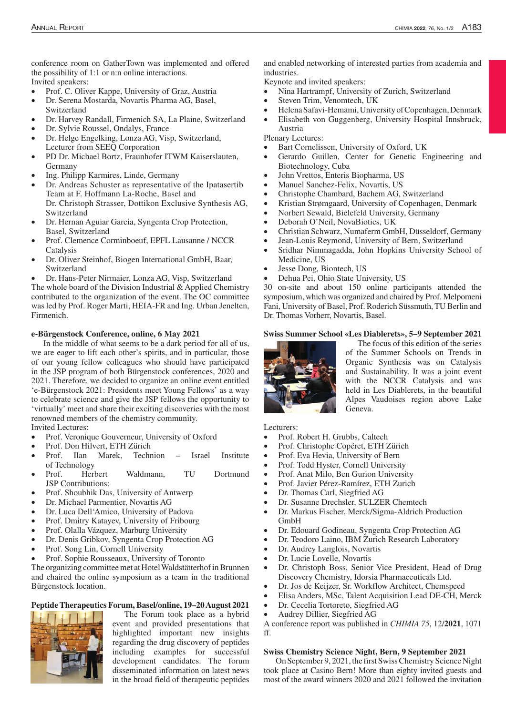conference room on GatherTown was implemented and offered the possibility of 1:1 or n:n online interactions. Invited speakers:

- Prof. C. Oliver Kappe, University of Graz, Austria
- Dr. Serena Mostarda, Novartis Pharma AG, Basel, Switzerland
- Dr. Harvey Randall, Firmenich SA, La Plaine, Switzerland
- Dr. Sylvie Roussel, Ondalys, France
- Dr. Helge Engelking, Lonza AG, Visp, Switzerland, Lecturer from SEEQ Corporation
- PD Dr. Michael Bortz, Fraunhofer ITWM Kaiserslauten, Germany
- Ing. Philipp Karmires, Linde, Germany
- Dr. Andreas Schuster as representative of the Ipatasertib Team at F. Hoffmann La-Roche, Basel and Dr. Christoph Strasser, Dottikon Exclusive Synthesis AG, Switzerland
- Dr. Hernan Aguiar Garcia, Syngenta Crop Protection, Basel, Switzerland
- Prof. Clemence Corminboeuf, EPFL Lausanne / NCCR Catalysis
- Dr. Oliver Steinhof, Biogen International GmbH, Baar, Switzerland
- Dr. Hans-Peter Nirmaier, Lonza AG, Visp, Switzerland

The whole board of the Division Industrial & Applied Chemistry contributed to the organization of the event. The OC committee was led by Prof. Roger Marti, HEIA-FR and Ing. Urban Jenelten, Firmenich.

### **e-Bürgenstock Conference, online, 6 May 2021**

In the middle of what seems to be a dark period for all of us, we are eager to lift each other's spirits, and in particular, those of our young fellow colleagues who should have participated in the JSP program of both Bürgenstock conferences, 2020 and 2021. Therefore, we decided to organize an online event entitled 'e-Bürgenstock 2021: Presidents meet Young Fellows' as a way to celebrate science and give the JSP fellows the opportunity to 'virtually' meet and share their exciting discoveries with the most renowned members of the chemistry community. Invited Lectures:

- Prof. Veronique Gouverneur, University of Oxford
- Prof. Don Hilvert, ETH Zürich
- Prof. Ilan Marek, Technion Israel Institute of Technology
- Prof. Herbert Waldmann, TU Dortmund JSP Contributions:
- Prof. Shoubhik Das, University of Antwerp
- Dr. Michael Parmentier, Novartis AG
- Dr. Luca Dell'Amico, University of Padova
- Prof. Dmitry Katayev, University of Fribourg
- Prof. Olalla Vázquez, Marburg University
- Dr. Denis Gribkov, Syngenta Crop Protection AG
- Prof. Song Lin, Cornell University
- Prof. Sophie Rousseaux, University of Toronto

The organizing committee met at Hotel Waldstätterhof in Brunnen and chaired the online symposium as a team in the traditional Bürgenstock location.

#### **Peptide Therapeutics Forum, Basel/online, 19–20 August 2021**



The Forum took place as a hybrid event and provided presentations that highlighted important new insights regarding the drug discovery of peptides including examples for successful development candidates. The forum disseminated information on latest news in the broad field of therapeutic peptides and enabled networking of interested parties from academia and industries.

Keynote and invited speakers:

- • Nina Hartrampf, University of Zurich, Switzerland
- Steven Trim, Venomtech, UK
- Helena Safavi-Hemami, University of Copenhagen, Denmark
- Elisabeth von Guggenberg, University Hospital Innsbruck, Austria

Plenary Lectures:

- Bart Cornelissen, University of Oxford, UK
- Gerardo Guillen, Center for Genetic Engineering and Biotechnology, Cuba
- John Vrettos, Enteris Biopharma, US
- Manuel Sanchez-Felix, Novartis, US
- Christophe Chambard, Bachem AG, Switzerland
- Kristian Strømgaard, University of Copenhagen, Denmark
- Norbert Sewald, Bielefeld University, Germany
- Deborah O'Neil, NovaBiotics, UK
- Christian Schwarz, Numaferm GmbH, Düsseldorf, Germany
- Jean-Louis Reymond, University of Bern, Switzerland
- Sridhar Nimmagadda, John Hopkins University School of Medicine, US
- Jesse Dong, Biontech, US
- Dehua Pei, Ohio State University, US

30 on-site and about 150 online participants attended the symposium, which was organized and chaired by Prof. Melpomeni Fani, University of Basel, Prof. Roderich Süssmuth, TU Berlin and Dr. Thomas Vorherr, Novartis, Basel.

### **Swiss Summer School «Les Diablerets», 5–9 September 2021**



The focus of this edition of the series of the Summer Schools on Trends in Organic Synthesis was on Catalysis and Sustainability. It was a joint event with the NCCR Catalysis and was held in Les Diablerets, in the beautiful Alpes Vaudoises region above Lake Geneva.

Lecturers:

- Prof. Robert H. Grubbs, Caltech
- Prof. Christophe Copéret, ETH Zürich
- Prof. Eva Hevia, University of Bern
- Prof. Todd Hyster, Cornell University
- Prof. Anat Milo, Ben Gurion University
- Prof. Javier Pérez-Ramírez, ETH Zurich
- Dr. Thomas Carl, Siegfried AG
- Dr. Susanne Drechsler, SULZER Chemtech
- Dr. Markus Fischer, Merck/Sigma-Aldrich Production GmbH
- Dr. Edouard Godineau, Syngenta Crop Protection AG
- Dr. Teodoro Laino, IBM Zurich Research Laboratory
- Dr. Audrey Langlois, Novartis
- • Dr. Lucie Lovelle, Novartis
- • Dr. Christoph Boss, Senior Vice President, Head of Drug Discovery Chemistry, Idorsia Pharmaceuticals Ltd.
- Dr. Jos de Keijzer, Sr. Workflow Architect, Chemspeed
- Elisa Anders, MSc, Talent Acquisition Lead DE-CH, Merck
- Dr. Cecelia Tortoreto, Siegfried AG
- Audrey Dillier, Siegfried AG

A conference report was published in *CHIMIA 75*, 12/**2021**, 1071 ff.

### **Swiss Chemistry Science Night, Bern, 9 September 2021**

On September 9, 2021, the first Swiss Chemistry Science Night took place at Casino Bern! More than eighty invited guests and most of the award winners 2020 and 2021 followed the invitation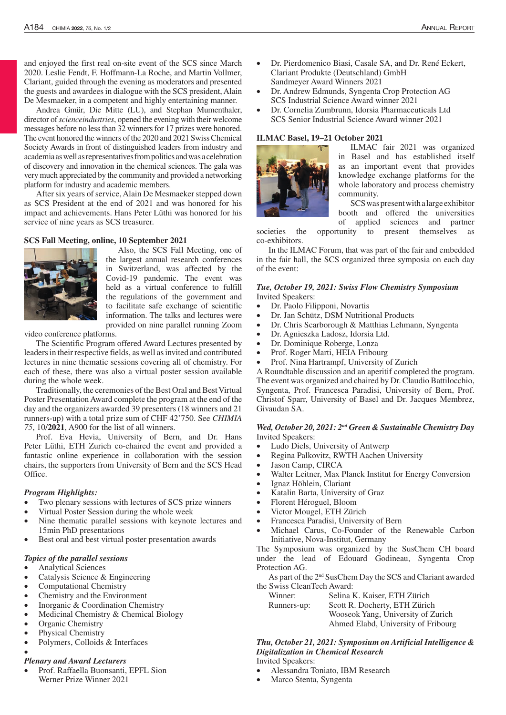and enjoyed the first real on-site event of the SCS since March 2020. Leslie Fendt, F. Hoffmann-La Roche, and Martin Vollmer, Clariant, guided through the evening as moderators and presented the guests and awardees in dialogue with the SCS president, Alain De Mesmaeker, in a competent and highly entertaining manner.

Andrea Gmür, Die Mitte (LU), and Stephan Mumenthaler, director of *scienceindustries*, opened the evening with their welcome messages before no less than 32 winners for 17 prizes were honored. The event honored the winners of the 2020 and 2021 Swiss Chemical Society Awards in front of distinguished leaders from industry and academia as well as representatives from politics and was a celebration of discovery and innovation in the chemical sciences. The gala was very much appreciated by the community and provided a networking platform for industry and academic members.

After six years of service, Alain De Mesmaeker stepped down as SCS President at the end of 2021 and was honored for his impact and achievements. Hans Peter Lüthi was honored for his service of nine years as SCS treasurer.

#### **SCS Fall Meeting, online, 10 September 2021**



Also, the SCS Fall Meeting, one of the largest annual research conferences in Switzerland, was affected by the Covid-19 pandemic. The event was held as a virtual conference to fulfill the regulations of the government and to facilitate safe exchange of scientific information. The talks and lectures were provided on nine parallel running Zoom

video conference platforms.

The Scientific Program offered Award Lectures presented by leaders in their respective fields, as well as invited and contributed lectures in nine thematic sessions covering all of chemistry. For each of these, there was also a virtual poster session available during the whole week.

Traditionally, the ceremonies of the Best Oral and Best Virtual Poster Presentation Award complete the program at the end of the day and the organizers awarded 39 presenters (18 winners and 21 runners-up) with a total prize sum of CHF 42'750. See *CHIMIA 75*, 10/**2021**, A900 for the list of all winners.

Prof. Eva Hevia, University of Bern, and Dr. Hans Peter Lüthi, ETH Zurich co-chaired the event and provided a fantastic online experience in collaboration with the session chairs, the supporters from University of Bern and the SCS Head Office.

#### *Program Highlights:*

- Two plenary sessions with lectures of SCS prize winners
- Virtual Poster Session during the whole week
- Nine thematic parallel sessions with keynote lectures and 15min PhD presentations
- Best oral and best virtual poster presentation awards

# *Topics of the parallel sessions*

- Analytical Sciences
- Catalysis Science & Engineering
- Computational Chemistry
- Chemistry and the Environment
- Inorganic & Coordination Chemistry
- Medicinal Chemistry & Chemical Biology
- Organic Chemistry
- Physical Chemistry
- Polymers, Colloids & Interfaces •

# *Plenary and Award Lecturers*

Prof. Raffaella Buonsanti, EPFL Sion Werner Prize Winner 2021

- Dr. Pierdomenico Biasi, Casale SA, and Dr. René Eckert, Clariant Produkte (Deutschland) GmbH Sandmeyer Award Winners 2021
- Dr. Andrew Edmunds, Syngenta Crop Protection AG SCS Industrial Science Award winner 2021
- Dr. Cornelia Zumbrunn, Idorsia Pharmaceuticals Ltd SCS Senior Industrial Science Award winner 2021

# **ILMAC Basel, 19–21 October 2021**



ILMAC fair 2021 was organized in Basel and has established itself as an important event that provides knowledge exchange platforms for the whole laboratory and process chemistry community.

SCS was present with a large exhibitor booth and offered the universities of applied sciences and partner

societies the opportunity to present themselves as co-exhibitors.

In the ILMAC Forum, that was part of the fair and embedded in the fair hall, the SCS organized three symposia on each day of the event:

### *Tue, October 19, 2021: Swiss Flow Chemistry Symposium*  Invited Speakers:

- Dr. Paolo Filipponi, Novartis
- Dr. Jan Schütz, DSM Nutritional Products
- Dr. Chris Scarborough & Matthias Lehmann, Syngenta
- • Dr. Agnieszka Ladosz, Idorsia Ltd.
- Dr. Dominique Roberge, Lonza
- Prof. Roger Marti, HEIA Fribourg
- Prof. Nina Hartrampf, University of Zurich

A Roundtable discussion and an aperitif completed the program. The event was organized and chaired by Dr. Claudio Battilocchio, Syngenta, Prof. Francesca Paradisi, University of Bern, Prof. Christof Sparr, University of Basel and Dr. Jacques Membrez, Givaudan SA.

## *Wed, October 20, 2021: 2nd Green & Sustainable Chemistry Day* Invited Speakers:

- Ludo Diels, University of Antwerp
- Regina Palkovitz, RWTH Aachen University
- Jason Camp, CIRCA
- Walter Leitner, Max Planck Institut for Energy Conversion
- Ignaz Höhlein, Clariant
- Katalin Barta, University of Graz
- Florent Héroguel, Bloom
- • Victor Mougel, ETH Zürich
- Francesca Paradisi, University of Bern
- Michael Carus, Co-Founder of the Renewable Carbon Initiative, Nova-Institut, Germany

The Symposium was organized by the SusChem CH board under the lead of Edouard Godineau, Syngenta Crop Protection AG.

As part of the 2nd SusChem Day the SCS and Clariant awarded the Swiss CleanTech Award:

| Winner:     | Selina K. Kaiser, ETH Zürich        |
|-------------|-------------------------------------|
| Runners-up: | Scott R. Docherty, ETH Zürich       |
|             | Wooseok Yang, University of Zurich  |
|             | Ahmed Elabd, University of Fribourg |

*Thu, October 21, 2021: Symposium on Artificial Intelligence & Digitalization in Chemical Research*

Invited Speakers:

- Alessandra Toniato, IBM Research
- Marco Stenta, Syngenta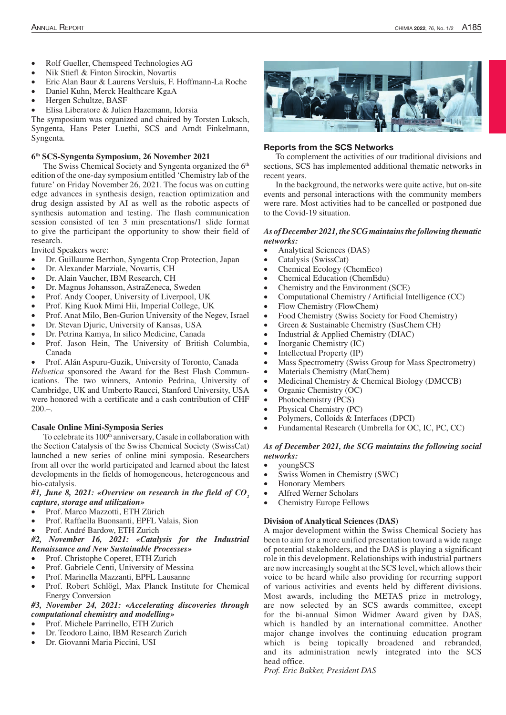- Rolf Gueller, Chemspeed Technologies AG
- Nik Stiefl & Finton Sirockin, Novartis
- Eric Alan Baur & Laurens Versluis, F. Hoffmann-La Roche
- Daniel Kuhn, Merck Healthcare KgaA
- Hergen Schultze, BASF
- Elisa Liberatore & Julien Hazemann, Idorsia

The symposium was organized and chaired by Torsten Luksch, Syngenta, Hans Peter Luethi, SCS and Arndt Finkelmann, Syngenta.

#### **6th SCS-Syngenta Symposium, 26 November 2021**

The Swiss Chemical Society and Syngenta organized the 6<sup>th</sup> edition of the one-day symposium entitled 'Chemistry lab of the future' on Friday November 26, 2021. The focus was on cutting edge advances in synthesis design, reaction optimization and drug design assisted by AI as well as the robotic aspects of synthesis automation and testing. The flash communication session consisted of ten 3 min presentations/1 slide format to give the participant the opportunity to show their field of research.

Invited Speakers were:

- Dr. Guillaume Berthon, Syngenta Crop Protection, Japan
- Dr. Alexander Marziale, Novartis, CH
- Dr. Alain Vaucher, IBM Research, CH
- Dr. Magnus Johansson, AstraZeneca, Sweden
- Prof. Andy Cooper, University of Liverpool, UK
- Prof. King Kuok Mimi Hii, Imperial College, UK
- Prof. Anat Milo, Ben-Gurion University of the Negev, Israel
- Dr. Stevan Djuric, University of Kansas, USA
- Dr. Petrina Kamya, In silico Medicine, Canada
- • Prof. Jason Hein, The University of British Columbia, Canada
- Prof. Alán Aspuru-Guzik, University of Toronto, Canada

*Helvetica* sponsored the Award for the Best Flash Communications. The two winners, Antonio Pedrina, University of Cambridge, UK and Umberto Raucci, Stanford University, USA were honored with a certificate and a cash contribution of CHF  $200 -$ 

#### **Casale Online Mini-Symposia Series**

To celebrate its 100<sup>th</sup> anniversary, Casale in collaboration with the Section Catalysis of the Swiss Chemical Society (SwissCat) launched a new series of online mini symposia. Researchers from all over the world participated and learned about the latest developments in the fields of homogeneous, heterogeneous and bio-catalysis.

### #1, June 8, 2021: «Overview on research in the field of CO<sub>2</sub> *capture, storage and utilization»*

- Prof. Marco Mazzotti, ETH Zürich
- Prof. Raffaella Buonsanti, EPFL Valais, Sion
- Prof. André Bardow, ETH Zurich

### *#2, November 16, 2021: «Catalysis for the Industrial Renaissance and New Sustainable Processes»*

- Prof. Christophe Coperet, ETH Zurich
- Prof. Gabriele Centi, University of Messina
- Prof. Marinella Mazzanti, EPFL Lausanne
- Prof. Robert Schlögl, Max Planck Institute for Chemical Energy Conversion

# *#3, November 24, 2021: «Accelerating discoveries through computational chemistry and modelling»*

- Prof. Michele Parrinello, ETH Zurich
- Dr. Teodoro Laino, IBM Research Zurich
- Dr. Giovanni Maria Piccini, USI



### Reports from the SCS Networks

To complement the activities of our traditional divisions and sections, SCS has implemented additional thematic networks in recent years.

In the background, the networks were quite active, but on-site events and personal interactions with the community members were rare. Most activities had to be cancelled or postponed due to the Covid-19 situation.

#### *As of December 2021, the SCG maintains the following thematic networks:*

- Analytical Sciences (DAS)
- Catalysis (SwissCat)
- Chemical Ecology (ChemEco)
- Chemical Education (ChemEdu)
- Chemistry and the Environment (SCE)
- • Computational Chemistry / Artificial Intelligence (CC)
- Flow Chemistry (FlowChem)
- Food Chemistry (Swiss Society for Food Chemistry)
- Green & Sustainable Chemistry (SusChem CH)
- Industrial & Applied Chemistry (DIAC)
- Inorganic Chemistry (IC)
- Intellectual Property (IP)
- Mass Spectrometry (Swiss Group for Mass Spectrometry)
- Materials Chemistry (MatChem)
- Medicinal Chemistry & Chemical Biology (DMCCB)
- Organic Chemistry (OC)
- Photochemistry (PCS)
- Physical Chemistry (PC)
- Polymers, Colloids & Interfaces (DPCI)
- Fundamental Research (Umbrella for OC, IC, PC, CC)

### *As of December 2021, the SCG maintains the following social networks:*

- youngSCS
- Swiss Women in Chemistry (SWC)
- **Honorary Members**
- Alfred Werner Scholars
- Chemistry Europe Fellows

#### **Division of Analytical Sciences (DAS)**

A major development within the Swiss Chemical Society has been to aim for a more unified presentation toward a wide range of potential stakeholders, and the DAS is playing a significant role in this development. Relationships with industrial partners are now increasingly sought at the SCS level, which allows their voice to be heard while also providing for recurring support of various activities and events held by different divisions. Most awards, including the METAS prize in metrology, are now selected by an SCS awards committee, except for the bi-annual Simon Widmer Award given by DAS, which is handled by an international committee. Another major change involves the continuing education program which is being topically broadened and rebranded, and its administration newly integrated into the SCS head office.

*Prof. Eric Bakker, President DAS*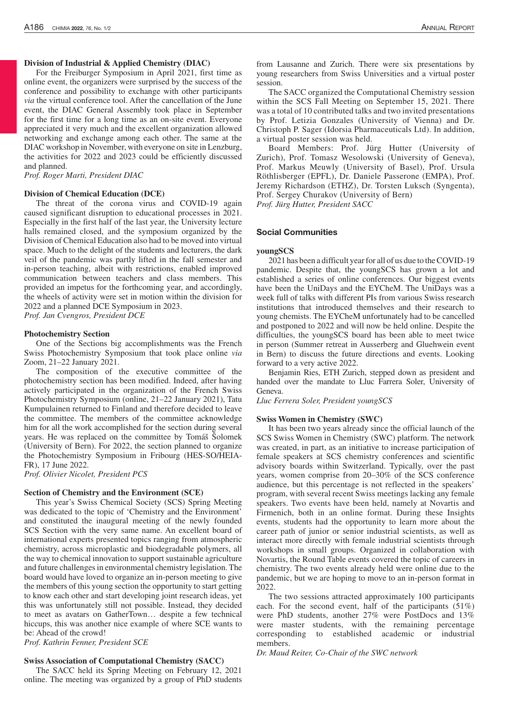### **Division of Industrial & Applied Chemistry (DIAC)**

For the Freiburger Symposium in April 2021, first time as online event, the organizers were surprised by the success of the conference and possibility to exchange with other participants *via* the virtual conference tool. After the cancellation of the June event, the DIAC General Assembly took place in September for the first time for a long time as an on-site event. Everyone appreciated it very much and the excellent organization allowed networking and exchange among each other. The same at the DIAC workshop in November, with everyone on site in Lenzburg, the activities for 2022 and 2023 could be efficiently discussed and planned.

*Prof. Roger Marti, President DIAC*

#### **Division of Chemical Education (DCE)**

The threat of the corona virus and COVID-19 again caused significant disruption to educational processes in 2021. Especially in the first half of the last year, the University lecture halls remained closed, and the symposium organized by the Division of Chemical Education also had to be moved into virtual space. Much to the delight of the students and lecturers, the dark veil of the pandemic was partly lifted in the fall semester and in-person teaching, albeit with restrictions, enabled improved communication between teachers and class members. This provided an impetus for the forthcoming year, and accordingly, the wheels of activity were set in motion within the division for 2022 and a planned DCE Symposium in 2023. *Prof. Jan Cvengros, President DCE*

### **Photochemistry Section**

One of the Sections big accomplishments was the French Swiss Photochemistry Symposium that took place online *via* Zoom, 21–22 January 2021.

The composition of the executive committee of the photochemistry section has been modified. Indeed, after having actively participated in the organization of the French Swiss Photochemistry Symposium (online, 21–22 January 2021), Tatu Kumpulainen returned to Finland and therefore decided to leave the committee. The members of the committee acknowledge him for all the work accomplished for the section during several years. He was replaced on the committee by Tomáš Šolomek (University of Bern). For 2022, the section planned to organize the Photochemistry Symposium in Fribourg (HES-SO/HEIA-FR), 17 June 2022.

*Prof. Olivier Nicolet, President PCS*

#### **Section of Chemistry and the Environment (SCE)**

This year's Swiss Chemical Society (SCS) Spring Meeting was dedicated to the topic of 'Chemistry and the Environment' and constituted the inaugural meeting of the newly founded SCS Section with the very same name. An excellent board of international experts presented topics ranging from atmospheric chemistry, across microplastic and biodegradable polymers, all the way to chemical innovation to support sustainable agriculture and future challenges in environmental chemistry legislation. The board would have loved to organize an in-person meeting to give the members of this young section the opportunity to start getting to know each other and start developing joint research ideas, yet this was unfortunately still not possible. Instead, they decided to meet as avatars on GatherTown… despite a few technical hiccups, this was another nice example of where SCE wants to be: Ahead of the crowd!

*Prof. Kathrin Fenner, President SCE*

#### **Swiss Association of Computational Chemistry (SACC)**

The SACC held its Spring Meeting on February 12, 2021 online. The meeting was organized by a group of PhD students from Lausanne and Zurich. There were six presentations by young researchers from Swiss Universities and a virtual poster session.

The SACC organized the Computational Chemistry session within the SCS Fall Meeting on September 15, 2021. There was a total of 10 contributed talks and two invited presentations by Prof. Letizia Gonzales (University of Vienna) and Dr. Christoph P. Sager (Idorsia Pharmaceuticals Ltd). In addition, a virtual poster session was held.

Board Members: Prof. Jürg Hutter (University of Zurich), Prof. Tomasz Wesolowski (University of Geneva), Prof. Markus Meuwly (University of Basel), Prof. Ursula Röthlisberger (EPFL), Dr. Daniele Passerone (EMPA), Prof. Jeremy Richardson (ETHZ), Dr. Torsten Luksch (Syngenta), Prof. Sergey Churakov (University of Bern)

*Prof. Jürg Hutter, President SACC*

### Social Communities

# **youngSCS**

2021 has been a difficult year for all of us due to the COVID-19 pandemic. Despite that, the youngSCS has grown a lot and established a series of online conferences. Our biggest events have been the UniDays and the EYCheM. The UniDays was a week full of talks with different PIs from various Swiss research institutions that introduced themselves and their research to young chemists. The EYCheM unfortunately had to be cancelled and postponed to 2022 and will now be held online. Despite the difficulties, the youngSCS board has been able to meet twice in person (Summer retreat in Ausserberg and Gluehwein event in Bern) to discuss the future directions and events. Looking forward to a very active 2022.

Benjamin Ries, ETH Zurich, stepped down as president and handed over the mandate to Lluc Farrera Soler, University of Geneva.

*Lluc Ferrera Soler, President youngSCS*

#### **Swiss Women in Chemistry (SWC)**

It has been two years already since the official launch of the SCS Swiss Women in Chemistry (SWC) platform. The network was created, in part, as an initiative to increase participation of female speakers at SCS chemistry conferences and scientific advisory boards within Switzerland. Typically, over the past years, women comprise from 20–30% of the SCS conference audience, but this percentage is not reflected in the speakers' program, with several recent Swiss meetings lacking any female speakers. Two events have been held, namely at Novartis and Firmenich, both in an online format. During these Insights events, students had the opportunity to learn more about the career path of junior or senior industrial scientists, as well as interact more directly with female industrial scientists through workshops in small groups. Organized in collaboration with Novartis, the Round Table events covered the topic of careers in chemistry. The two events already held were online due to the pandemic, but we are hoping to move to an in-person format in 2022.

The two sessions attracted approximately 100 participants each. For the second event, half of the participants (51%) were PhD students, another 27% were PostDocs and 13% were master students, with the remaining percentage corresponding to established academic or industrial members.

*Dr. Maud Reiter, Co-Chair of the SWC network*